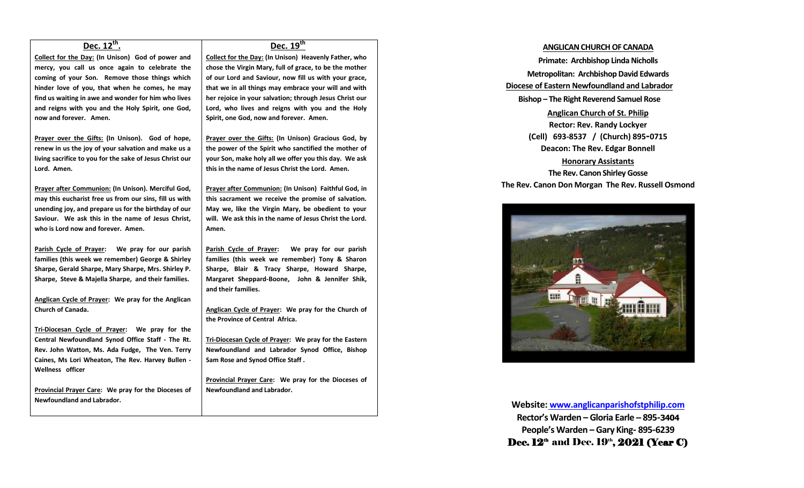## **Dec. 12th .**

**Collect for the Day: (In Unison) God of power and mercy, you call us once again to celebrate the coming of your Son. Remove those things which hinder love of you, that when he comes, he may find us waiting in awe and wonder for him who lives and reigns with you and the Holy Spirit, one God, now and forever. Amen.**

**Prayer over the Gifts: (In Unison). God of hope, renew in us the joy of your salvation and make us a living sacrifice to you for the sake of Jesus Christ our Lord. Amen.**

**Prayer after Communion: (In Unison). Merciful God, may this eucharist free us from our sins, fill us with unending joy, and prepare us for the birthday of our Saviour. We ask this in the name of Jesus Christ, who is Lord now and forever. Amen.**

**Parish Cycle of Prayer: We pray for our parish families (this week we remember) George & Shirley Sharpe, Gerald Sharpe, Mary Sharpe, Mrs. Shirley P. Sharpe, Steve & Majella Sharpe, and their families.**

**Anglican Cycle of Prayer: We pray for the Anglican Church of Canada.**

**Tri-Diocesan Cycle of Prayer: We pray for the Central Newfoundland Synod Office Staff - The Rt. Rev. John Watton, Ms. Ada Fudge, The Ven. Terry Caines, Ms Lori Wheaton, The Rev. Harvey Bullen - Wellness officer** 

**Provincial Prayer Care: We pray for the Dioceses of Newfoundland and Labrador.**

### **Dec. 19th**

**Collect for the Day: (In Unison) Heavenly Father, who chose the Virgin Mary, full of grace, to be the mother of our Lord and Saviour, now fill us with your grace, that we in all things may embrace your will and with her rejoice in your salvation; through Jesus Christ our Lord, who lives and reigns with you and the Holy Spirit, one God, now and forever. Amen.**

**Prayer over the Gifts: (In Unison) Gracious God, by the power of the Spirit who sanctified the mother of your Son, make holy all we offer you this day. We ask this in the name of Jesus Christ the Lord. Amen.**

**Prayer after Communion: (In Unison) Faithful God, in this sacrament we receive the promise of salvation. May we, like the Virgin Mary, be obedient to your will. We ask this in the name of Jesus Christ the Lord. Amen.**

**Parish Cycle of Prayer: We pray for our parish families (this week we remember) Tony & Sharon Sharpe, Blair & Tracy Sharpe, Howard Sharpe, Margaret Sheppard-Boone, John & Jennifer Shik, and their families.**

**Anglican Cycle of Prayer: We pray for the Church of the Province of Central Africa.**

**Tri-Diocesan Cycle of Prayer: We pray for the Eastern Newfoundland and Labrador Synod Office, Bishop Sam Rose and Synod Office Staff .**

**Provincial Prayer Care: We pray for the Dioceses of Newfoundland and Labrador.**

#### **ANGLICAN CHURCH OF CANADA**

**Primate: Archbishop Linda Nicholls Metropolitan: Archbishop David Edwards Diocese of Eastern Newfoundland and Labrador Bishop – The Right Reverend Samuel Rose Anglican Church of St. Philip Rector: Rev. Randy Lockyer (Cell) 693-8537 / (Church) 895-0715 Deacon: The Rev. Edgar Bonnell Honorary Assistants The Rev. Canon Shirley Gosse The Rev. Canon Don Morgan The Rev. Russell Osmond**



**Website: [www.anglicanparishofstphilip.com](http://www.anglicanparishofstphilip.com/) Rector's Warden – Gloria Earle – 895-3404 People's Warden – Gary King- 895-6239 Dec. 12<sup>th</sup>** and Dec. 19<sup>th</sup>, **2021 (Year C)**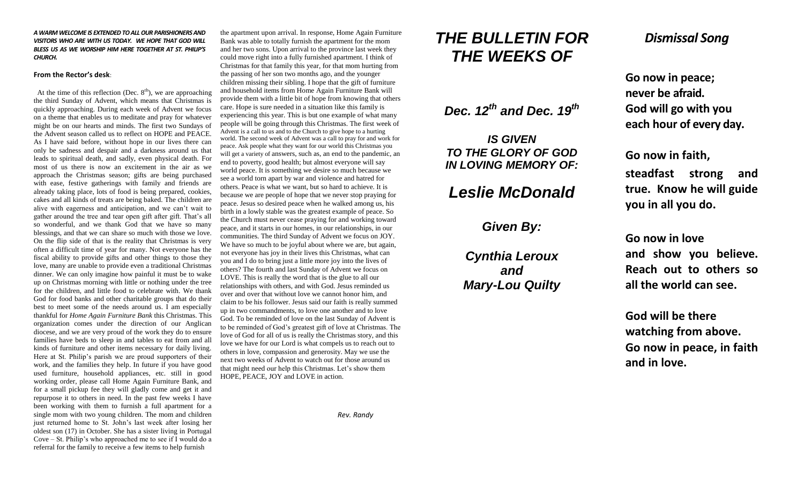*A WARM WELCOME IS EXTENDED TO ALL OUR PARISHIONERS AND VISITORS WHO ARE WITH US TODAY. WE HOPE THAT GOD WILL BLESS US AS WE WORSHIP HIM HERE TOGETHER AT ST. PHILIP'S CHURCH.*

#### **From the Rector's desk**:

At the time of this reflection (Dec.  $8<sup>th</sup>$ ), we are approaching the third Sunday of Advent, which means that Christmas is quickly approaching. During each week of Advent we focus on a theme that enables us to meditate and pray for whatever might be on our hearts and minds. The first two Sundays of the Advent season called us to reflect on HOPE and PEACE. As I have said before, without hope in our lives there can only be sadness and despair and a darkness around us that leads to spiritual death, and sadly, even physical death. For most of us there is now an excitement in the air as we approach the Christmas season; gifts are being purchased with ease, festive gatherings with family and friends are already taking place, lots of food is being prepared, cookies, cakes and all kinds of treats are being baked. The children are alive with eagerness and anticipation, and we can't wait to gather around the tree and tear open gift after gift. That's all so wonderful, and we thank God that we have so many blessings, and that we can share so much with those we love. On the flip side of that is the reality that Christmas is very often a difficult time of year for many. Not everyone has the fiscal ability to provide gifts and other things to those they love, many are unable to provide even a traditional Christmas dinner. We can only imagine how painful it must be to wake up on Christmas morning with little or nothing under the tree for the children, and little food to celebrate with. We thank God for food banks and other charitable groups that do their best to meet some of the needs around us. I am especially thankful for *Home Again Furniture Bank* this Christmas. This organization comes under the direction of our Anglican diocese, and we are very proud of the work they do to ensure families have beds to sleep in and tables to eat from and all kinds of furniture and other items necessary for daily living. Here at St. Philip's parish we are proud supporters of their work, and the families they help. In future if you have good used furniture, household appliances, etc. still in good working order, please call Home Again Furniture Bank, and for a small pickup fee they will gladly come and get it and repurpose it to others in need. In the past few weeks I have been working with them to furnish a full apartment for a single mom with two young children. The mom and children just returned home to St. John's last week after losing her oldest son (17) in October. She has a sister living in Portugal Cove – St. Philip's who approached me to see if I would do a referral for the family to receive a few items to help furnish

the apartment upon arrival. In response, Home Again Furniture Bank was able to totally furnish the apartment for the mom and her two sons. Upon arrival to the province last week they could move right into a fully furnished apartment. I think of Christmas for that family this year, for that mom hurting from the passing of her son two months ago, and the younger children missing their sibling. I hope that the gift of furniture and household items from Home Again Furniture Bank will provide them with a little bit of hope from knowing that others care. Hope is sure needed in a situation like this family is experiencing this year. This is but one example of what many people will be going through this Christmas. The first week of Advent is a call to us and to the Church to give hope to a hurting world. The second week of Advent was a call to pray for and work for peace. Ask people what they want for our world this Christmas you will get a variety of answers, such as, an end to the pandemic, an end to poverty, good health; but almost everyone will say world peace. It is something we desire so much because we see a world torn apart by war and violence and hatred for others. Peace is what we want, but so hard to achieve. It is because we are people of hope that we never stop praying for peace. Jesus so desired peace when he walked among us, his birth in a lowly stable was the greatest example of peace. So the Church must never cease praying for and working toward peace, and it starts in our homes, in our relationships, in our communities. The third Sunday of Advent we focus on JOY. We have so much to be joyful about where we are, but again, not everyone has joy in their lives this Christmas, what can you and I do to bring just a little more joy into the lives of others? The fourth and last Sunday of Advent we focus on LOVE. This is really the word that is the glue to all our relationships with others, and with God. Jesus reminded us over and over that without love we cannot honor him, and claim to be his follower. Jesus said our faith is really summed up in two commandments, to love one another and to love God. To be reminded of love on the last Sunday of Advent is to be reminded of God's greatest gift of love at Christmas. The love of God for all of us is really the Christmas story, and this love we have for our Lord is what compels us to reach out to others in love, compassion and generosity. May we use the next two weeks of Advent to watch out for those around us that might need our help this Christmas. Let's show them HOPE, PEACE, JOY and LOVE in action.

 *Rev. Randy*

# *THE BULLETIN FOR THE WEEKS OF*

# *Dec. 12th and Dec. 19th*

*IS GIVEN TO THE GLORY OF GOD IN LOVING MEMORY OF:*

# *Leslie McDonald*

## *Given By:*

*Cynthia Leroux and Mary-Lou Quilty*

## *Dismissal Song*

**Go now in peace; never be afraid. God will go with you each hour of every day.**

**Go now in faith,** 

**steadfast strong and true. Know he will guide you in all you do.**

**Go now in love** 

**and show you believe. Reach out to others so all the world can see.**

**God will be there watching from above. Go now in peace, in faith and in love.**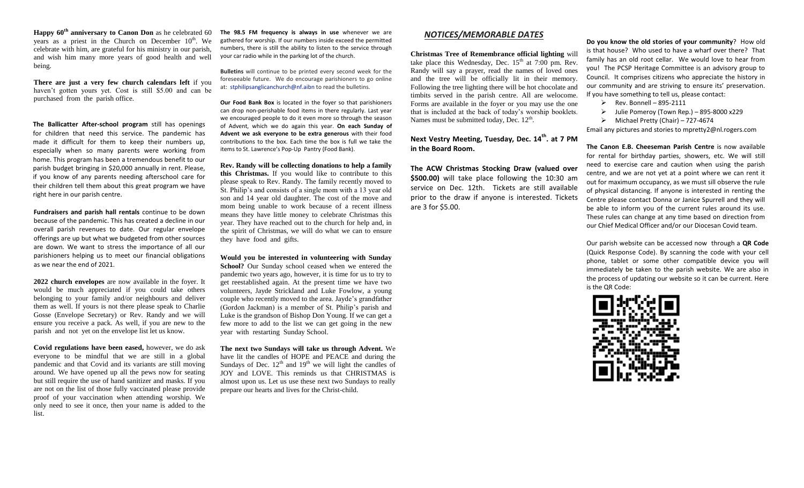**Happy 60th anniversary to Canon Don** as he celebrated 60 years as a priest in the Church on December 10<sup>th</sup>. We celebrate with him, are grateful for his ministry in our parish, and wish him many more years of good health and well being.

**There are just a very few church calendars left** if you haven't gotten yours yet. Cost is still \$5.00 and can be purchased from the parish office.

**The Ballicatter After-school program** still has openings for children that need this service. The pandemic has made it difficult for them to keep their numbers up, especially when so many parents were working from home. This program has been a tremendous benefit to our parish budget bringing in \$20,000 annually in rent. Please, if you know of any parents needing afterschool care for their children tell them about this great program we have right here in our parish centre.

**Fundraisers and parish hall rentals** continue to be down because of the pandemic. This has created a decline in our overall parish revenues to date. Our regular envelope offerings are up but what we budgeted from other sources are down. We want to stress the importance of all our parishioners helping us to meet our financial obligations as we near the end of 2021.

**2022 church envelopes** are now available in the foyer. It would be much appreciated if you could take others belonging to your family and/or neighbours and deliver them as well. If yours is not there please speak to Charlie Gosse (Envelope Secretary) or Rev. Randy and we will ensure you receive a pack. As well, if you are new to the parish and not yet on the envelope list let us know.

**Covid regulations have been eased,** however, we do ask everyone to be mindful that we are still in a global pandemic and that Covid and its variants are still moving around. We have opened up all the pews now for seating but still require the use of hand sanitizer and masks. If you are not on the list of those fully vaccinated please provide proof of your vaccination when attending worship. We only need to see it once, then your name is added to the list.

**The 98.5 FM frequency is always in use** whenever we are gathered for worship. If our numbers inside exceed the permitted numbers, there is still the ability to listen to the service through your car radio while in the parking lot of the church.

**Bulletins** will continue to be printed every second week for the foreseeable future. We do encourage parishioners to go online at: [stphilipsanglicanchurch@nf.aibn](mailto:stphilipsanglicanchurch@nf.aibn) to read the bulletins.

**Our Food Bank Box** is located in the foyer so that parishioners can drop non-perishable food items in there regularly. Last year we encouraged people to do it even more so through the season of Advent, which we do again this year. **On each Sunday of Advent we ask everyone to be extra generous** with their food contributions to the box. Each time the box is full we take the items to St. Lawrence's Pop-Up Pantry (Food Bank).

**Rev. Randy will be collecting donations to help a family this Christmas.** If you would like to contribute to this please speak to Rev. Randy. The family recently moved to St. Philip's and consists of a single mom with a 13 year old son and 14 year old daughter. The cost of the move and mom being unable to work because of a recent illness means they have little money to celebrate Christmas this year. They have reached out to the church for help and, in the spirit of Christmas, we will do what we can to ensure they have food and gifts.

**Would you be interested in volunteering with Sunday School?** Our Sunday school ceased when we entered the pandemic two years ago, however, it is time for us to try to get reestablished again. At the present time we have two volunteers, Jayde Strickland and Luke Fowlow, a young couple who recently moved to the area. Jayde's grandfather (Gordon Jackman) is a member of St. Philip's parish and Luke is the grandson of Bishop Don Young. If we can get a few more to add to the list we can get going in the new year with restarting Sunday School.

**The next two Sundays will take us through Advent.** We have lit the candles of HOPE and PEACE and during the Sundays of Dec.  $12<sup>th</sup>$  and  $19<sup>th</sup>$  we will light the candles of JOY and LOVE. This reminds us that CHRISTMAS is almost upon us. Let us use these next two Sundays to really prepare our hearts and lives for the Christ-child.

### *NOTICES/MEMORABLE DATES*

**Christmas Tree of Remembrance official lighting** will take place this Wednesday, Dec.  $15<sup>th</sup>$  at 7:00 pm. Rev. Randy will say a prayer, read the names of loved ones and the tree will be officially lit in their memory. Following the tree lighting there will be hot chocolate and timbits served in the parish centre. All are welocome. Forms are available in the foyer or you may use the one that is included at the back of today's worship booklets. Names must be submitted today, Dec. 12<sup>th</sup>.

**Next Vestry Meeting, Tuesday, Dec. 14th . at 7 PM in the Board Room.**

**The ACW Christmas Stocking Draw (valued over \$500.00)** will take place following the 10:30 am service on Dec. 12th. Tickets are still available prior to the draw if anyone is interested. Tickets are 3 for \$5.00.

**Do you know the old stories of your community**? How old is that house? Who used to have a wharf over there? That family has an old root cellar. We would love to hear from you! The PCSP Heritage Committee is an advisory group to Council. It comprises citizens who appreciate the history in our community and are striving to ensure its' preservation. If you have something to tell us, please contact:

- $\triangleright$  Rev. Bonnell 895-2111
- $\triangleright$  Julie Pomeroy (Town Rep.) 895-8000 x229
- $\triangleright$  Michael Pretty (Chair) 727-4674

Email any pictures and stories to mpretty2@nl.rogers.com

**The Canon E.B. Cheeseman Parish Centre** is now available for rental for birthday parties, showers, etc. We will still need to exercise care and caution when using the parish centre, and we are not yet at a point where we can rent it out for maximum occupancy, as we must sill observe the rule of physical distancing. If anyone is interested in renting the Centre please contact Donna or Janice Spurrell and they will be able to inform you of the current rules around its use. These rules can change at any time based on direction from our Chief Medical Officer and/or our Diocesan Covid team.

Our parish website can be accessed now through a **QR Code**  (Quick Response Code). By scanning the code with your cell phone, tablet or some other compatible device you will immediately be taken to the parish website. We are also in the process of updating our website so it can be current. Here is the QR Code: